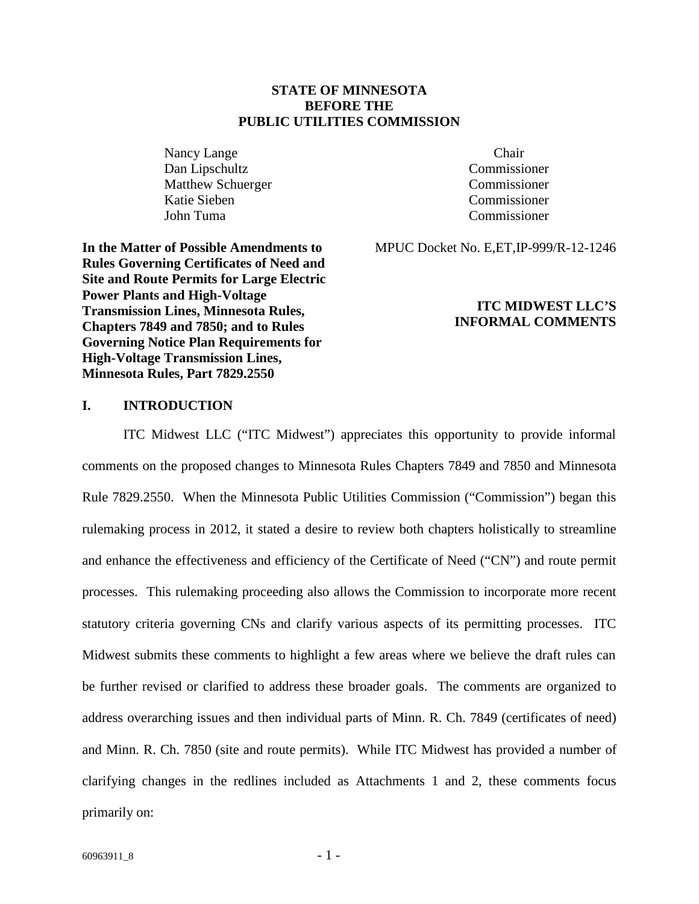## **STATE OF MINNESOTA BEFORE THE PUBLIC UTILITIES COMMISSION**

Nancy Lange Chair Dan Lipschultz Commissioner Matthew Schuerger Commissioner Katie Sieben Commissioner John Tuma Commissioner

MPUC Docket No. E,ET,IP-999/R-12-1246

**In the Matter of Possible Amendments to Rules Governing Certificates of Need and Site and Route Permits for Large Electric Power Plants and High-Voltage Transmission Lines, Minnesota Rules, Chapters 7849 and 7850; and to Rules Governing Notice Plan Requirements for High-Voltage Transmission Lines, Minnesota Rules, Part 7829.2550**

### **ITC MIDWEST LLC'S INFORMAL COMMENTS**

# **I. INTRODUCTION**

ITC Midwest LLC ("ITC Midwest") appreciates this opportunity to provide informal comments on the proposed changes to Minnesota Rules Chapters 7849 and 7850 and Minnesota Rule 7829.2550. When the Minnesota Public Utilities Commission ("Commission") began this rulemaking process in 2012, it stated a desire to review both chapters holistically to streamline and enhance the effectiveness and efficiency of the Certificate of Need ("CN") and route permit processes. This rulemaking proceeding also allows the Commission to incorporate more recent statutory criteria governing CNs and clarify various aspects of its permitting processes. ITC Midwest submits these comments to highlight a few areas where we believe the draft rules can be further revised or clarified to address these broader goals. The comments are organized to address overarching issues and then individual parts of Minn. R. Ch. 7849 (certificates of need) and Minn. R. Ch. 7850 (site and route permits). While ITC Midwest has provided a number of clarifying changes in the redlines included as Attachments 1 and 2, these comments focus primarily on: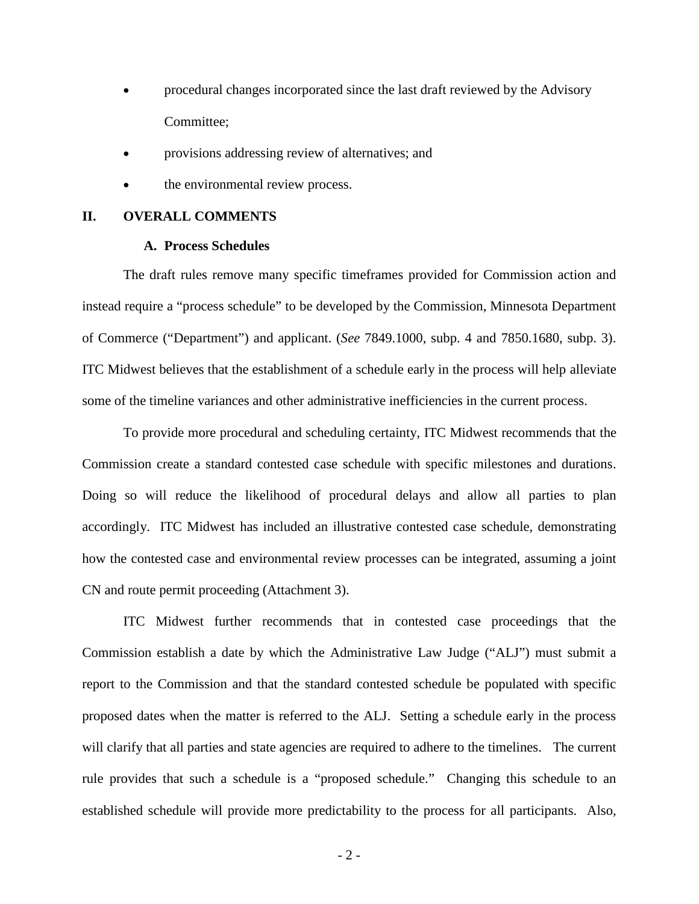- · procedural changes incorporated since the last draft reviewed by the Advisory Committee;
- provisions addressing review of alternatives; and
- the environmental review process.

## **II. OVERALL COMMENTS**

#### **A. Process Schedules**

The draft rules remove many specific timeframes provided for Commission action and instead require a "process schedule" to be developed by the Commission, Minnesota Department of Commerce ("Department") and applicant. (*See* 7849.1000, subp. 4 and 7850.1680, subp. 3). ITC Midwest believes that the establishment of a schedule early in the process will help alleviate some of the timeline variances and other administrative inefficiencies in the current process.

To provide more procedural and scheduling certainty, ITC Midwest recommends that the Commission create a standard contested case schedule with specific milestones and durations. Doing so will reduce the likelihood of procedural delays and allow all parties to plan accordingly. ITC Midwest has included an illustrative contested case schedule, demonstrating how the contested case and environmental review processes can be integrated, assuming a joint CN and route permit proceeding (Attachment 3).

ITC Midwest further recommends that in contested case proceedings that the Commission establish a date by which the Administrative Law Judge ("ALJ") must submit a report to the Commission and that the standard contested schedule be populated with specific proposed dates when the matter is referred to the ALJ. Setting a schedule early in the process will clarify that all parties and state agencies are required to adhere to the timelines. The current rule provides that such a schedule is a "proposed schedule." Changing this schedule to an established schedule will provide more predictability to the process for all participants. Also,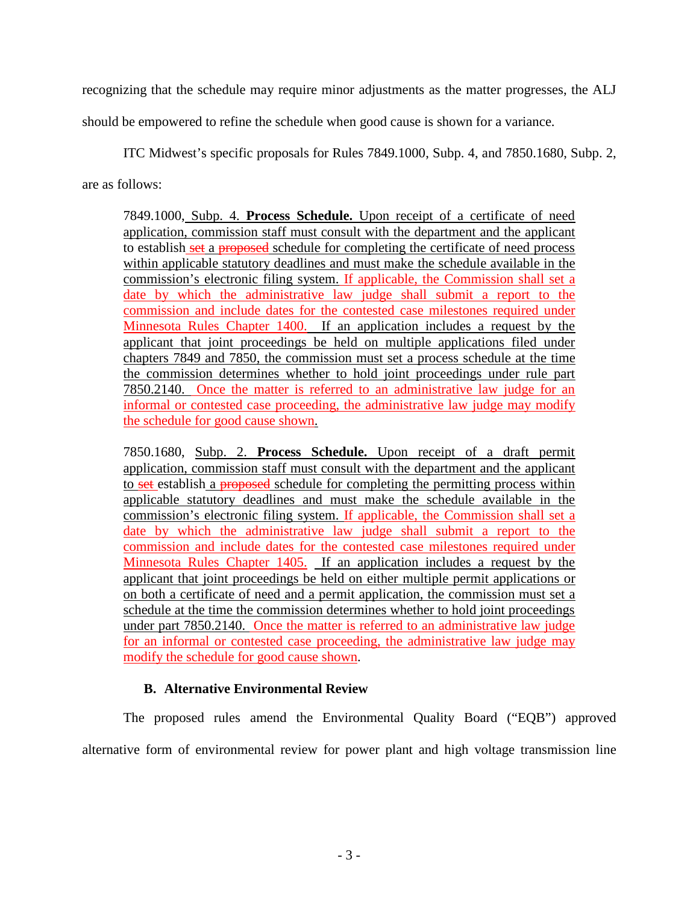recognizing that the schedule may require minor adjustments as the matter progresses, the ALJ

should be empowered to refine the schedule when good cause is shown for a variance.

ITC Midwest's specific proposals for Rules 7849.1000, Subp. 4, and 7850.1680, Subp. 2,

are as follows:

7849.1000, Subp. 4. **Process Schedule.** Upon receipt of a certificate of need application, commission staff must consult with the department and the applicant to establish set a proposed schedule for completing the certificate of need process within applicable statutory deadlines and must make the schedule available in the commission's electronic filing system. If applicable, the Commission shall set a date by which the administrative law judge shall submit a report to the commission and include dates for the contested case milestones required under Minnesota Rules Chapter 1400. If an application includes a request by the applicant that joint proceedings be held on multiple applications filed under chapters 7849 and 7850, the commission must set a process schedule at the time the commission determines whether to hold joint proceedings under rule part 7850.2140. Once the matter is referred to an administrative law judge for an informal or contested case proceeding, the administrative law judge may modify the schedule for good cause shown.

7850.1680, Subp. 2. **Process Schedule.** Upon receipt of a draft permit application, commission staff must consult with the department and the applicant to set establish a proposed schedule for completing the permitting process within applicable statutory deadlines and must make the schedule available in the commission's electronic filing system. If applicable, the Commission shall set a date by which the administrative law judge shall submit a report to the commission and include dates for the contested case milestones required under Minnesota Rules Chapter 1405. If an application includes a request by the applicant that joint proceedings be held on either multiple permit applications or on both a certificate of need and a permit application, the commission must set a schedule at the time the commission determines whether to hold joint proceedings under part 7850.2140. Once the matter is referred to an administrative law judge for an informal or contested case proceeding, the administrative law judge may modify the schedule for good cause shown.

# **B. Alternative Environmental Review**

The proposed rules amend the Environmental Quality Board ("EQB") approved alternative form of environmental review for power plant and high voltage transmission line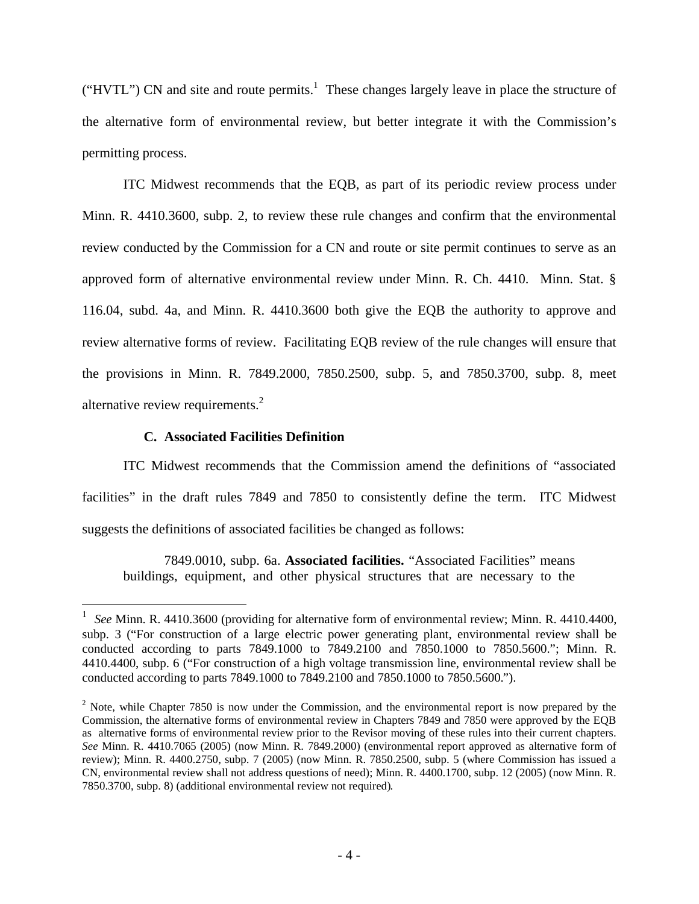("HVTL") CN and site and route permits.<sup>1</sup> These changes largely leave in place the structure of the alternative form of environmental review, but better integrate it with the Commission's permitting process.

ITC Midwest recommends that the EQB, as part of its periodic review process under Minn. R. 4410.3600, subp. 2, to review these rule changes and confirm that the environmental review conducted by the Commission for a CN and route or site permit continues to serve as an approved form of alternative environmental review under Minn. R. Ch. 4410. Minn. Stat. § 116.04, subd. 4a, and Minn. R. 4410.3600 both give the EQB the authority to approve and review alternative forms of review. Facilitating EQB review of the rule changes will ensure that the provisions in Minn. R. 7849.2000, 7850.2500, subp. 5, and 7850.3700, subp. 8, meet alternative review requirements. $<sup>2</sup>$ </sup>

# **C. Associated Facilities Definition**

 $\overline{a}$ 

ITC Midwest recommends that the Commission amend the definitions of "associated facilities" in the draft rules 7849 and 7850 to consistently define the term. ITC Midwest suggests the definitions of associated facilities be changed as follows:

7849.0010, subp. 6a. **Associated facilities.** "Associated Facilities" means buildings, equipment, and other physical structures that are necessary to the

<sup>1</sup> *See* Minn. R. 4410.3600 (providing for alternative form of environmental review; Minn. R. 4410.4400, subp. 3 ("For construction of a large electric power generating plant, environmental review shall be conducted according to parts 7849.1000 to 7849.2100 and 7850.1000 to 7850.5600."; Minn. R. 4410.4400, subp. 6 ("For construction of a high voltage transmission line, environmental review shall be conducted according to parts 7849.1000 to 7849.2100 and 7850.1000 to 7850.5600.").

<sup>&</sup>lt;sup>2</sup> Note, while Chapter 7850 is now under the Commission, and the environmental report is now prepared by the Commission, the alternative forms of environmental review in Chapters 7849 and 7850 were approved by the EQB as alternative forms of environmental review prior to the Revisor moving of these rules into their current chapters. *See* Minn. R. 4410.7065 (2005) (now Minn. R. 7849.2000) (environmental report approved as alternative form of review); Minn. R. 4400.2750, subp. 7 (2005) (now Minn. R. 7850.2500, subp. 5 (where Commission has issued a CN, environmental review shall not address questions of need); Minn. R. 4400.1700, subp. 12 (2005) (now Minn. R. 7850.3700, subp. 8) (additional environmental review not required).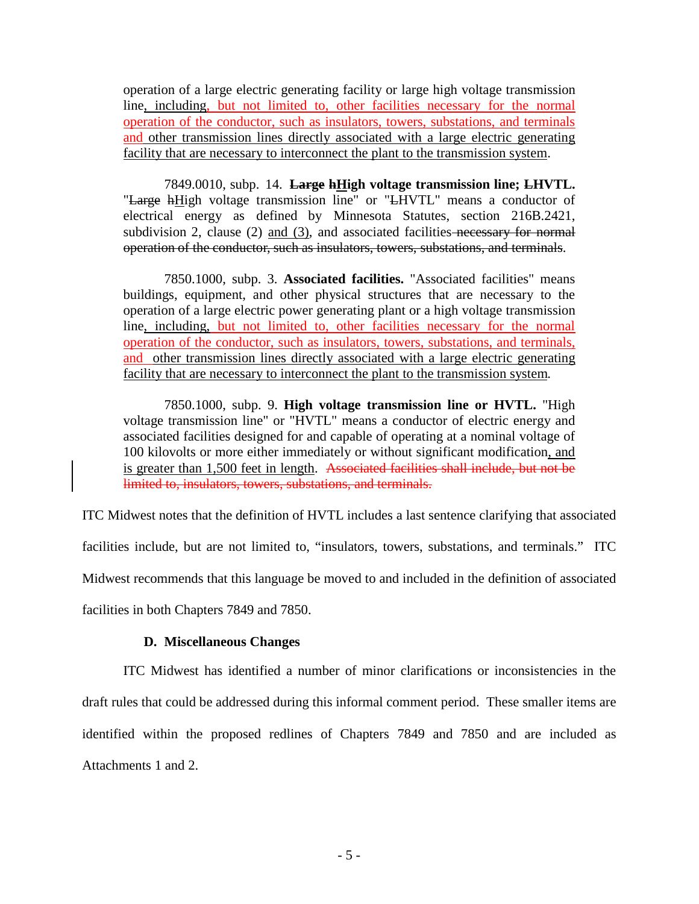operation of a large electric generating facility or large high voltage transmission line, including, but not limited to, other facilities necessary for the normal operation of the conductor, such as insulators, towers, substations, and terminals and other transmission lines directly associated with a large electric generating facility that are necessary to interconnect the plant to the transmission system.

7849.0010, subp. 14. **Large hHigh voltage transmission line; LHVTL.** "Large hHigh voltage transmission line" or "LHVTL" means a conductor of electrical energy as defined by Minnesota Statutes, section 216B.2421, subdivision 2, clause  $(2)$  and  $(3)$ , and associated facilities necessary for normal operation of the conductor, such as insulators, towers, substations, and terminals.

7850.1000, subp. 3. **Associated facilities.** "Associated facilities" means buildings, equipment, and other physical structures that are necessary to the operation of a large electric power generating plant or a high voltage transmission line, including, but not limited to, other facilities necessary for the normal operation of the conductor, such as insulators, towers, substations, and terminals, and other transmission lines directly associated with a large electric generating facility that are necessary to interconnect the plant to the transmission system.

7850.1000, subp. 9. **High voltage transmission line or HVTL.** "High voltage transmission line" or "HVTL" means a conductor of electric energy and associated facilities designed for and capable of operating at a nominal voltage of 100 kilovolts or more either immediately or without significant modification, and is greater than 1,500 feet in length. Associated facilities shall include, but not be limited to, insulators, towers, substations, and terminals.

ITC Midwest notes that the definition of HVTL includes a last sentence clarifying that associated facilities include, but are not limited to, "insulators, towers, substations, and terminals." ITC Midwest recommends that this language be moved to and included in the definition of associated facilities in both Chapters 7849 and 7850.

# **D. Miscellaneous Changes**

ITC Midwest has identified a number of minor clarifications or inconsistencies in the draft rules that could be addressed during this informal comment period. These smaller items are identified within the proposed redlines of Chapters 7849 and 7850 and are included as Attachments 1 and 2.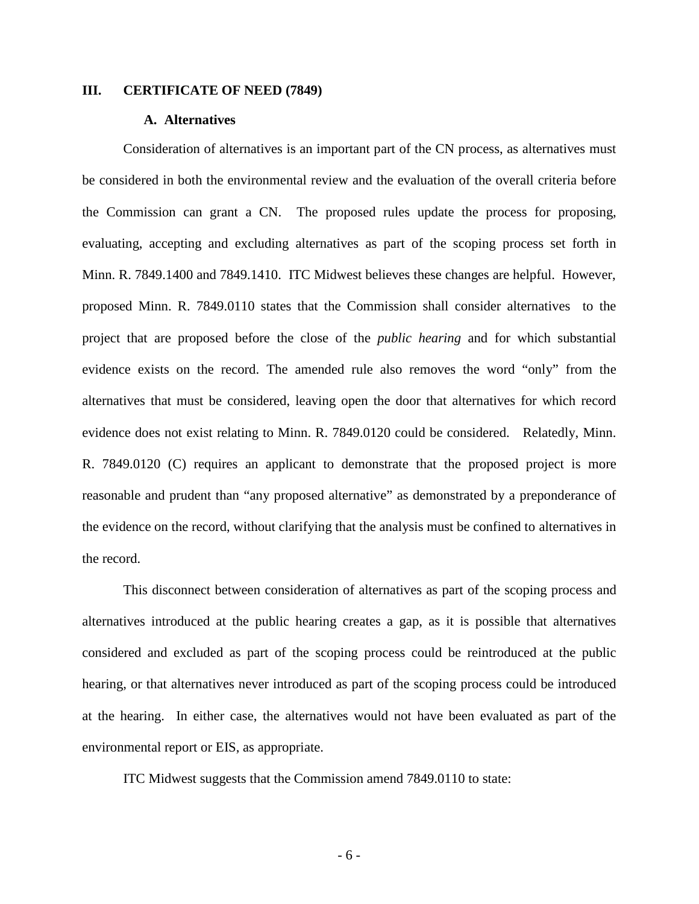### **III. CERTIFICATE OF NEED (7849)**

#### **A. Alternatives**

Consideration of alternatives is an important part of the CN process, as alternatives must be considered in both the environmental review and the evaluation of the overall criteria before the Commission can grant a CN. The proposed rules update the process for proposing, evaluating, accepting and excluding alternatives as part of the scoping process set forth in Minn. R. 7849.1400 and 7849.1410. ITC Midwest believes these changes are helpful. However, proposed Minn. R. 7849.0110 states that the Commission shall consider alternatives to the project that are proposed before the close of the *public hearing* and for which substantial evidence exists on the record. The amended rule also removes the word "only" from the alternatives that must be considered, leaving open the door that alternatives for which record evidence does not exist relating to Minn. R. 7849.0120 could be considered. Relatedly, Minn. R. 7849.0120 (C) requires an applicant to demonstrate that the proposed project is more reasonable and prudent than "any proposed alternative" as demonstrated by a preponderance of the evidence on the record, without clarifying that the analysis must be confined to alternatives in the record.

This disconnect between consideration of alternatives as part of the scoping process and alternatives introduced at the public hearing creates a gap, as it is possible that alternatives considered and excluded as part of the scoping process could be reintroduced at the public hearing, or that alternatives never introduced as part of the scoping process could be introduced at the hearing. In either case, the alternatives would not have been evaluated as part of the environmental report or EIS, as appropriate.

ITC Midwest suggests that the Commission amend 7849.0110 to state: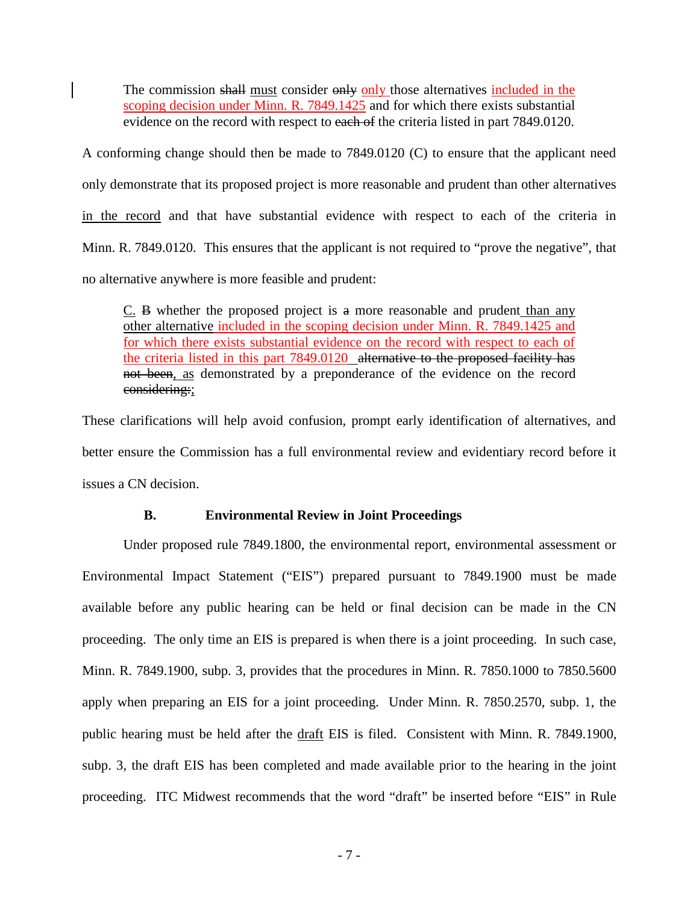The commission shall must consider only only those alternatives included in the scoping decision under Minn. R. 7849.1425 and for which there exists substantial evidence on the record with respect to each of the criteria listed in part 7849.0120.

A conforming change should then be made to 7849.0120 (C) to ensure that the applicant need only demonstrate that its proposed project is more reasonable and prudent than other alternatives in the record and that have substantial evidence with respect to each of the criteria in Minn. R. 7849.0120. This ensures that the applicant is not required to "prove the negative", that no alternative anywhere is more feasible and prudent:

C. B whether the proposed project is a more reasonable and prudent than any other alternative included in the scoping decision under Minn. R. 7849.1425 and for which there exists substantial evidence on the record with respect to each of the criteria listed in this part 7849.0120 alternative to the proposed facility has not been, as demonstrated by a preponderance of the evidence on the record considering:;

These clarifications will help avoid confusion, prompt early identification of alternatives, and better ensure the Commission has a full environmental review and evidentiary record before it issues a CN decision.

# **B. Environmental Review in Joint Proceedings**

Under proposed rule 7849.1800, the environmental report, environmental assessment or Environmental Impact Statement ("EIS") prepared pursuant to 7849.1900 must be made available before any public hearing can be held or final decision can be made in the CN proceeding. The only time an EIS is prepared is when there is a joint proceeding. In such case, Minn. R. 7849.1900, subp. 3, provides that the procedures in Minn. R. 7850.1000 to 7850.5600 apply when preparing an EIS for a joint proceeding. Under Minn. R. 7850.2570, subp. 1, the public hearing must be held after the draft EIS is filed. Consistent with Minn. R. 7849.1900, subp. 3, the draft EIS has been completed and made available prior to the hearing in the joint proceeding. ITC Midwest recommends that the word "draft" be inserted before "EIS" in Rule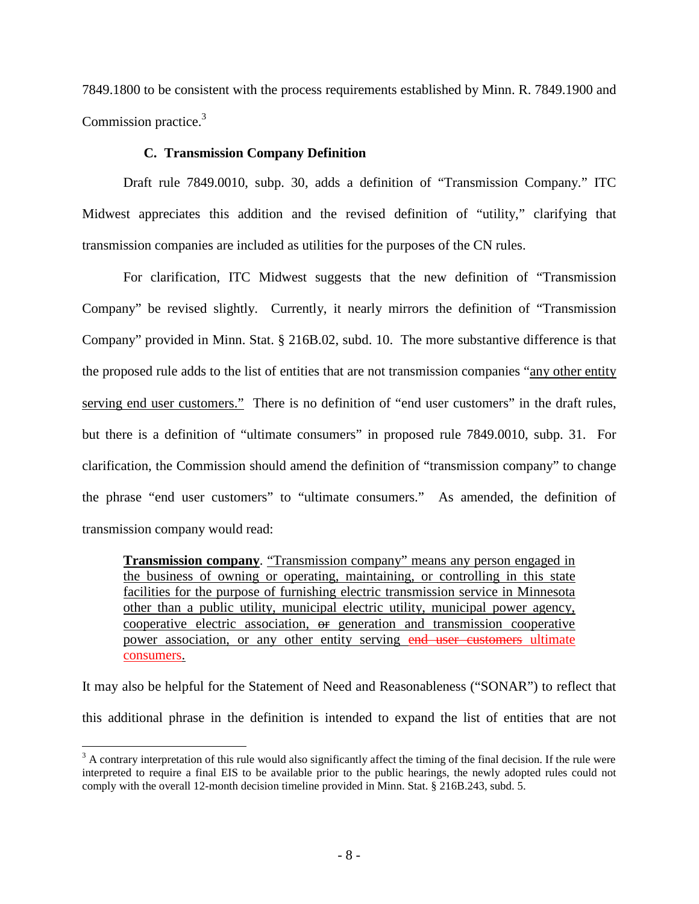7849.1800 to be consistent with the process requirements established by Minn. R. 7849.1900 and Commission practice.<sup>3</sup>

# **C. Transmission Company Definition**

Draft rule 7849.0010, subp. 30, adds a definition of "Transmission Company." ITC Midwest appreciates this addition and the revised definition of "utility," clarifying that transmission companies are included as utilities for the purposes of the CN rules.

For clarification, ITC Midwest suggests that the new definition of "Transmission Company" be revised slightly. Currently, it nearly mirrors the definition of "Transmission Company" provided in Minn. Stat. § 216B.02, subd. 10. The more substantive difference is that the proposed rule adds to the list of entities that are not transmission companies "any other entity serving end user customers." There is no definition of "end user customers" in the draft rules, but there is a definition of "ultimate consumers" in proposed rule 7849.0010, subp. 31. For clarification, the Commission should amend the definition of "transmission company" to change the phrase "end user customers" to "ultimate consumers." As amended, the definition of transmission company would read:

**Transmission company**. "Transmission company" means any person engaged in the business of owning or operating, maintaining, or controlling in this state facilities for the purpose of furnishing electric transmission service in Minnesota other than a public utility, municipal electric utility, municipal power agency, cooperative electric association, or generation and transmission cooperative power association, or any other entity serving end user customers ultimate consumers.

It may also be helpful for the Statement of Need and Reasonableness ("SONAR") to reflect that this additional phrase in the definition is intended to expand the list of entities that are not

 $\overline{a}$ 

 $3$  A contrary interpretation of this rule would also significantly affect the timing of the final decision. If the rule were interpreted to require a final EIS to be available prior to the public hearings, the newly adopted rules could not comply with the overall 12-month decision timeline provided in Minn. Stat. § 216B.243, subd. 5.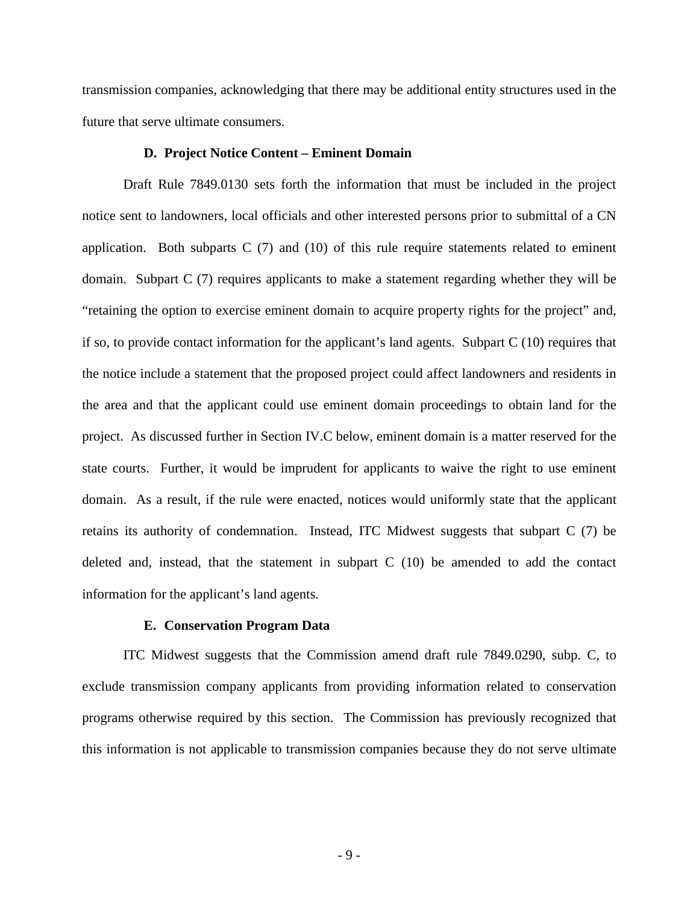transmission companies, acknowledging that there may be additional entity structures used in the future that serve ultimate consumers.

#### **D. Project Notice Content – Eminent Domain**

Draft Rule 7849.0130 sets forth the information that must be included in the project notice sent to landowners, local officials and other interested persons prior to submittal of a CN application. Both subparts  $C(7)$  and  $(10)$  of this rule require statements related to eminent domain. Subpart C (7) requires applicants to make a statement regarding whether they will be "retaining the option to exercise eminent domain to acquire property rights for the project" and, if so, to provide contact information for the applicant's land agents. Subpart  $C(10)$  requires that the notice include a statement that the proposed project could affect landowners and residents in the area and that the applicant could use eminent domain proceedings to obtain land for the project. As discussed further in Section IV.C below, eminent domain is a matter reserved for the state courts. Further, it would be imprudent for applicants to waive the right to use eminent domain. As a result, if the rule were enacted, notices would uniformly state that the applicant retains its authority of condemnation. Instead, ITC Midwest suggests that subpart C (7) be deleted and, instead, that the statement in subpart C (10) be amended to add the contact information for the applicant's land agents.

#### **E. Conservation Program Data**

ITC Midwest suggests that the Commission amend draft rule 7849.0290, subp. C, to exclude transmission company applicants from providing information related to conservation programs otherwise required by this section. The Commission has previously recognized that this information is not applicable to transmission companies because they do not serve ultimate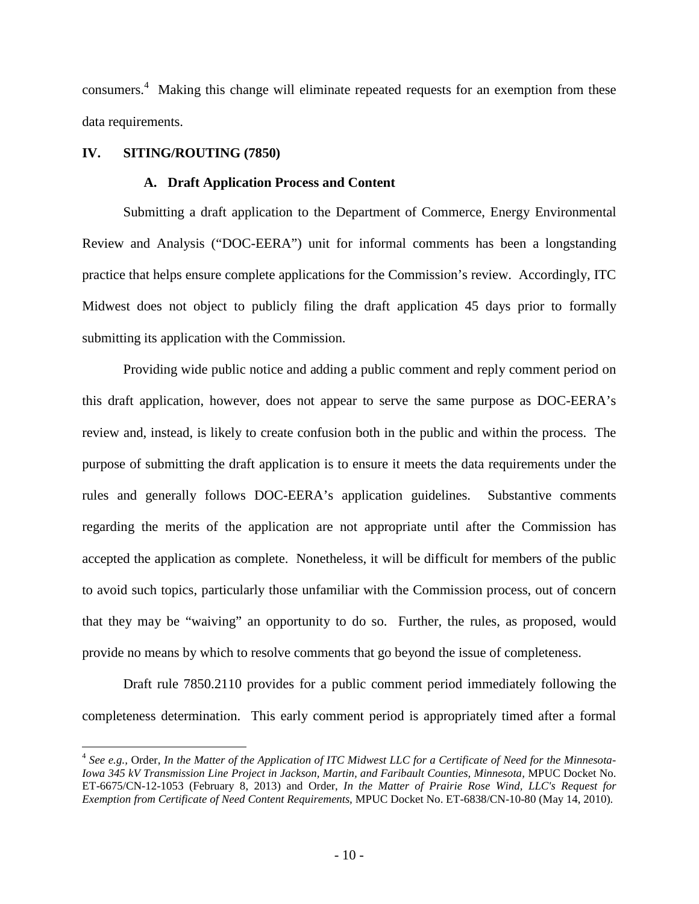consumers.<sup>4</sup> Making this change will eliminate repeated requests for an exemption from these data requirements.

# **IV. SITING/ROUTING (7850)**

1

### **A. Draft Application Process and Content**

Submitting a draft application to the Department of Commerce, Energy Environmental Review and Analysis ("DOC-EERA") unit for informal comments has been a longstanding practice that helps ensure complete applications for the Commission's review. Accordingly, ITC Midwest does not object to publicly filing the draft application 45 days prior to formally submitting its application with the Commission.

Providing wide public notice and adding a public comment and reply comment period on this draft application, however, does not appear to serve the same purpose as DOC-EERA's review and, instead, is likely to create confusion both in the public and within the process. The purpose of submitting the draft application is to ensure it meets the data requirements under the rules and generally follows DOC-EERA's application guidelines. Substantive comments regarding the merits of the application are not appropriate until after the Commission has accepted the application as complete. Nonetheless, it will be difficult for members of the public to avoid such topics, particularly those unfamiliar with the Commission process, out of concern that they may be "waiving" an opportunity to do so. Further, the rules, as proposed, would provide no means by which to resolve comments that go beyond the issue of completeness.

Draft rule 7850.2110 provides for a public comment period immediately following the completeness determination. This early comment period is appropriately timed after a formal

<sup>4</sup> *See e.g.,* Order, *In the Matter of the Application of ITC Midwest LLC for a Certificate of Need for the Minnesota-Iowa 345 kV Transmission Line Project in Jackson, Martin, and Faribault Counties, Minnesota,* MPUC Docket No. ET-6675/CN-12-1053 (February 8, 2013) and Order, *In the Matter of Prairie Rose Wind, LLC's Request for Exemption from Certificate of Need Content Requirements,* MPUC Docket No. ET-6838/CN-10-80 (May 14, 2010).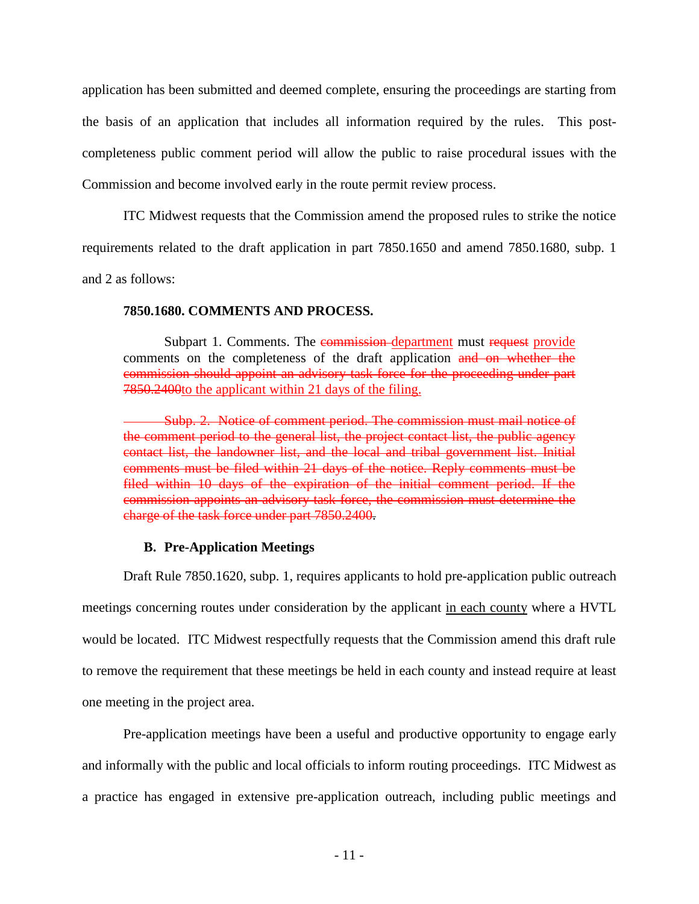application has been submitted and deemed complete, ensuring the proceedings are starting from the basis of an application that includes all information required by the rules. This postcompleteness public comment period will allow the public to raise procedural issues with the Commission and become involved early in the route permit review process.

ITC Midwest requests that the Commission amend the proposed rules to strike the notice requirements related to the draft application in part 7850.1650 and amend 7850.1680, subp. 1

and 2 as follows:

# **7850.1680. COMMENTS AND PROCESS.**

Subpart 1. Comments. The commission-department must request provide comments on the completeness of the draft application and on whether the commission should appoint an advisory task force for the proceeding under part 7850.2400to the applicant within 21 days of the filing.

Subp. 2. Notice of comment period. The commission must mail notice of the comment period to the general list, the project contact list, the public agency contact list, the landowner list, and the local and tribal government list. Initial comments must be filed within 21 days of the notice. Reply comments must be filed within 10 days of the expiration of the initial comment period. If the commission appoints an advisory task force, the commission must determine the charge of the task force under part 7850.2400.

# **B. Pre-Application Meetings**

Draft Rule 7850.1620, subp. 1, requires applicants to hold pre-application public outreach meetings concerning routes under consideration by the applicant in each county where a HVTL would be located. ITC Midwest respectfully requests that the Commission amend this draft rule to remove the requirement that these meetings be held in each county and instead require at least one meeting in the project area.

Pre-application meetings have been a useful and productive opportunity to engage early and informally with the public and local officials to inform routing proceedings. ITC Midwest as a practice has engaged in extensive pre-application outreach, including public meetings and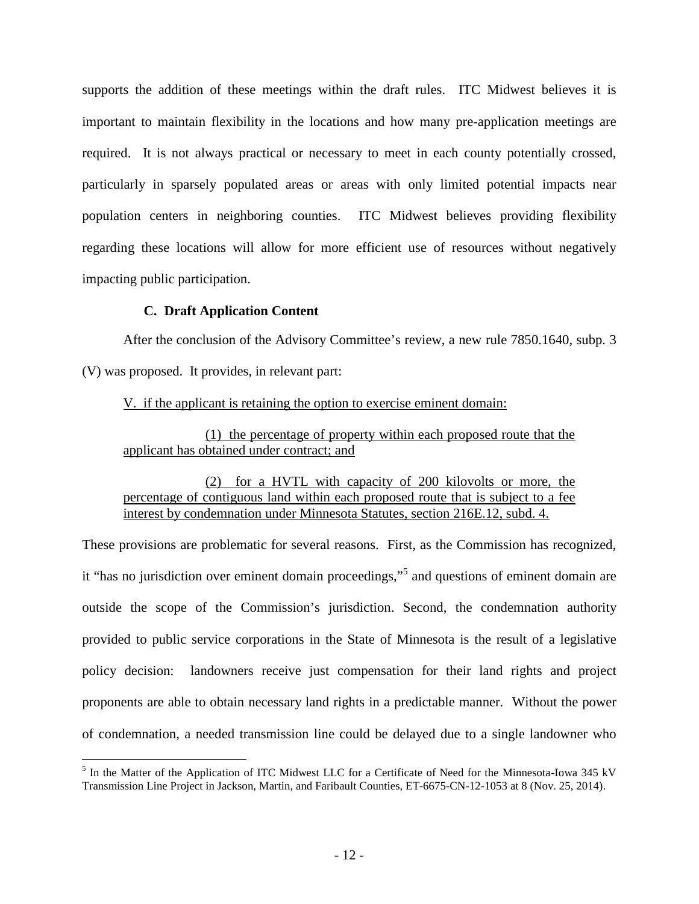supports the addition of these meetings within the draft rules. ITC Midwest believes it is important to maintain flexibility in the locations and how many pre-application meetings are required. It is not always practical or necessary to meet in each county potentially crossed, particularly in sparsely populated areas or areas with only limited potential impacts near population centers in neighboring counties. ITC Midwest believes providing flexibility regarding these locations will allow for more efficient use of resources without negatively impacting public participation.

# **C. Draft Application Content**

After the conclusion of the Advisory Committee's review, a new rule 7850.1640, subp. 3 (V) was proposed. It provides, in relevant part:

V. if the applicant is retaining the option to exercise eminent domain:

(1) the percentage of property within each proposed route that the applicant has obtained under contract; and

(2) for a HVTL with capacity of 200 kilovolts or more, the percentage of contiguous land within each proposed route that is subject to a fee interest by condemnation under Minnesota Statutes, section 216E.12, subd. 4.

These provisions are problematic for several reasons. First, as the Commission has recognized, it "has no jurisdiction over eminent domain proceedings," 5 and questions of eminent domain are outside the scope of the Commission's jurisdiction. Second, the condemnation authority provided to public service corporations in the State of Minnesota is the result of a legislative policy decision: landowners receive just compensation for their land rights and project proponents are able to obtain necessary land rights in a predictable manner. Without the power of condemnation, a needed transmission line could be delayed due to a single landowner who

<sup>&</sup>lt;sup>5</sup> In the Matter of the Application of ITC Midwest LLC for a Certificate of Need for the Minnesota-Iowa 345 kV Transmission Line Project in Jackson, Martin, and Faribault Counties, ET-6675-CN-12-1053 at 8 (Nov. 25, 2014).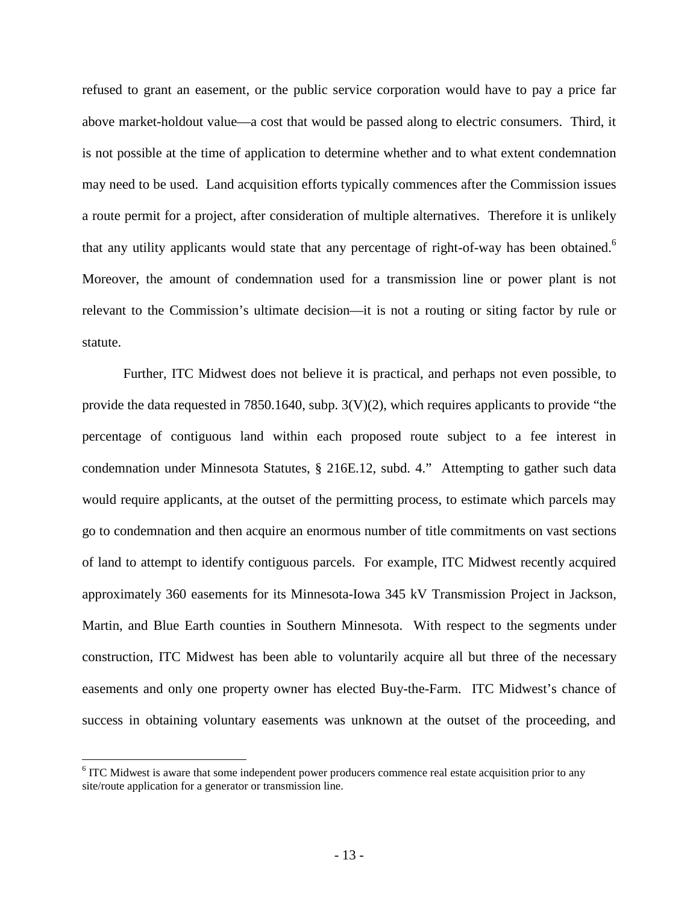refused to grant an easement, or the public service corporation would have to pay a price far above market-holdout value—a cost that would be passed along to electric consumers. Third, it is not possible at the time of application to determine whether and to what extent condemnation may need to be used. Land acquisition efforts typically commences after the Commission issues a route permit for a project, after consideration of multiple alternatives. Therefore it is unlikely that any utility applicants would state that any percentage of right-of-way has been obtained.<sup>6</sup> Moreover, the amount of condemnation used for a transmission line or power plant is not relevant to the Commission's ultimate decision—it is not a routing or siting factor by rule or statute.

Further, ITC Midwest does not believe it is practical, and perhaps not even possible, to provide the data requested in 7850.1640, subp.  $3(V)(2)$ , which requires applicants to provide "the percentage of contiguous land within each proposed route subject to a fee interest in condemnation under Minnesota Statutes, § 216E.12, subd. 4." Attempting to gather such data would require applicants, at the outset of the permitting process, to estimate which parcels may go to condemnation and then acquire an enormous number of title commitments on vast sections of land to attempt to identify contiguous parcels. For example, ITC Midwest recently acquired approximately 360 easements for its Minnesota-Iowa 345 kV Transmission Project in Jackson, Martin, and Blue Earth counties in Southern Minnesota. With respect to the segments under construction, ITC Midwest has been able to voluntarily acquire all but three of the necessary easements and only one property owner has elected Buy-the-Farm. ITC Midwest's chance of success in obtaining voluntary easements was unknown at the outset of the proceeding, and

 $\overline{a}$ 

<sup>&</sup>lt;sup>6</sup> ITC Midwest is aware that some independent power producers commence real estate acquisition prior to any site/route application for a generator or transmission line.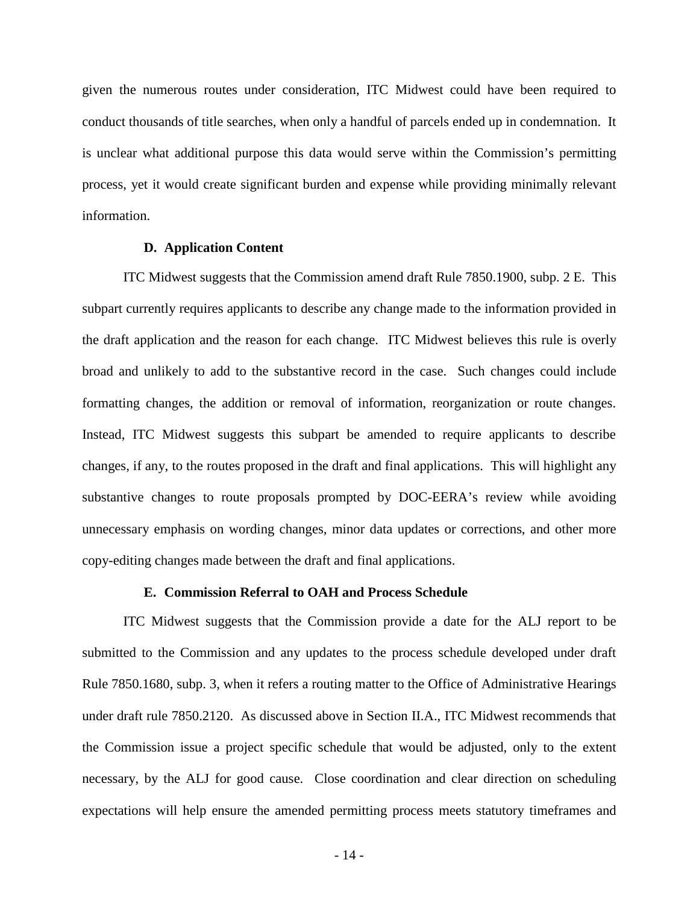given the numerous routes under consideration, ITC Midwest could have been required to conduct thousands of title searches, when only a handful of parcels ended up in condemnation. It is unclear what additional purpose this data would serve within the Commission's permitting process, yet it would create significant burden and expense while providing minimally relevant information.

### **D. Application Content**

ITC Midwest suggests that the Commission amend draft Rule 7850.1900, subp. 2 E. This subpart currently requires applicants to describe any change made to the information provided in the draft application and the reason for each change. ITC Midwest believes this rule is overly broad and unlikely to add to the substantive record in the case. Such changes could include formatting changes, the addition or removal of information, reorganization or route changes. Instead, ITC Midwest suggests this subpart be amended to require applicants to describe changes, if any, to the routes proposed in the draft and final applications. This will highlight any substantive changes to route proposals prompted by DOC-EERA's review while avoiding unnecessary emphasis on wording changes, minor data updates or corrections, and other more copy-editing changes made between the draft and final applications.

# **E. Commission Referral to OAH and Process Schedule**

ITC Midwest suggests that the Commission provide a date for the ALJ report to be submitted to the Commission and any updates to the process schedule developed under draft Rule 7850.1680, subp. 3, when it refers a routing matter to the Office of Administrative Hearings under draft rule 7850.2120. As discussed above in Section II.A., ITC Midwest recommends that the Commission issue a project specific schedule that would be adjusted, only to the extent necessary, by the ALJ for good cause. Close coordination and clear direction on scheduling expectations will help ensure the amended permitting process meets statutory timeframes and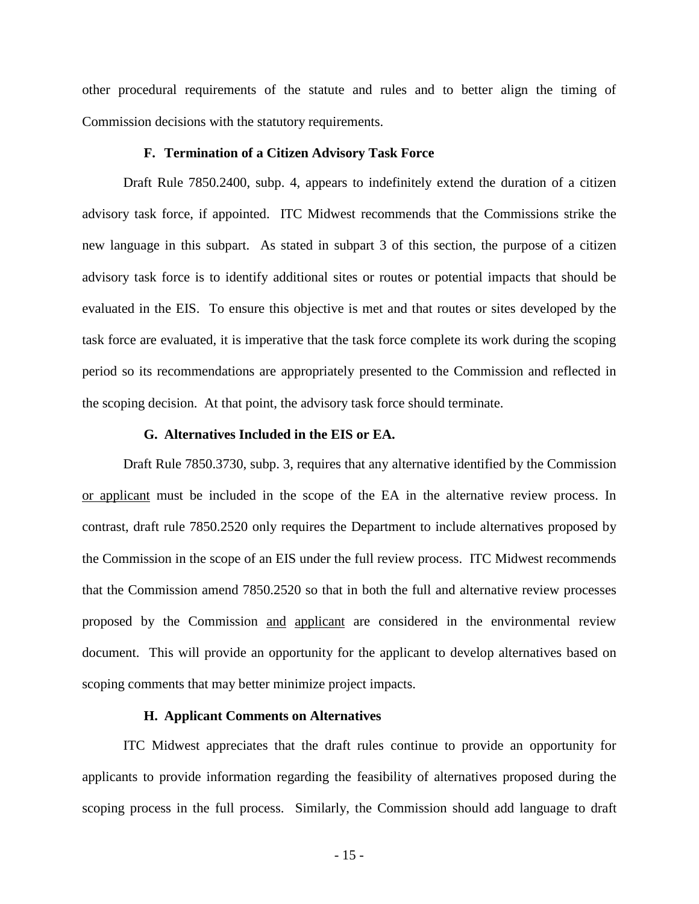other procedural requirements of the statute and rules and to better align the timing of Commission decisions with the statutory requirements.

#### **F. Termination of a Citizen Advisory Task Force**

Draft Rule 7850.2400, subp. 4, appears to indefinitely extend the duration of a citizen advisory task force, if appointed. ITC Midwest recommends that the Commissions strike the new language in this subpart. As stated in subpart 3 of this section, the purpose of a citizen advisory task force is to identify additional sites or routes or potential impacts that should be evaluated in the EIS. To ensure this objective is met and that routes or sites developed by the task force are evaluated, it is imperative that the task force complete its work during the scoping period so its recommendations are appropriately presented to the Commission and reflected in the scoping decision. At that point, the advisory task force should terminate.

#### **G. Alternatives Included in the EIS or EA.**

Draft Rule 7850.3730, subp. 3, requires that any alternative identified by the Commission or applicant must be included in the scope of the EA in the alternative review process. In contrast, draft rule 7850.2520 only requires the Department to include alternatives proposed by the Commission in the scope of an EIS under the full review process. ITC Midwest recommends that the Commission amend 7850.2520 so that in both the full and alternative review processes proposed by the Commission and applicant are considered in the environmental review document. This will provide an opportunity for the applicant to develop alternatives based on scoping comments that may better minimize project impacts.

### **H. Applicant Comments on Alternatives**

ITC Midwest appreciates that the draft rules continue to provide an opportunity for applicants to provide information regarding the feasibility of alternatives proposed during the scoping process in the full process. Similarly, the Commission should add language to draft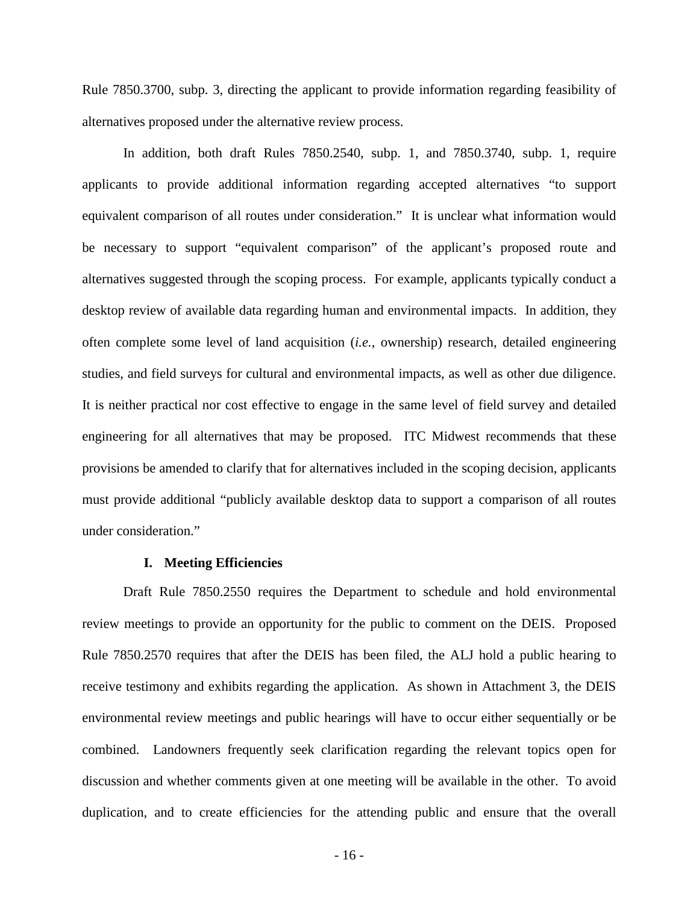Rule 7850.3700, subp. 3, directing the applicant to provide information regarding feasibility of alternatives proposed under the alternative review process.

In addition, both draft Rules 7850.2540, subp. 1, and 7850.3740, subp. 1, require applicants to provide additional information regarding accepted alternatives "to support equivalent comparison of all routes under consideration." It is unclear what information would be necessary to support "equivalent comparison" of the applicant's proposed route and alternatives suggested through the scoping process. For example, applicants typically conduct a desktop review of available data regarding human and environmental impacts. In addition, they often complete some level of land acquisition (*i.e.*, ownership) research, detailed engineering studies, and field surveys for cultural and environmental impacts, as well as other due diligence. It is neither practical nor cost effective to engage in the same level of field survey and detailed engineering for all alternatives that may be proposed. ITC Midwest recommends that these provisions be amended to clarify that for alternatives included in the scoping decision, applicants must provide additional "publicly available desktop data to support a comparison of all routes under consideration."

#### **I. Meeting Efficiencies**

Draft Rule 7850.2550 requires the Department to schedule and hold environmental review meetings to provide an opportunity for the public to comment on the DEIS. Proposed Rule 7850.2570 requires that after the DEIS has been filed, the ALJ hold a public hearing to receive testimony and exhibits regarding the application. As shown in Attachment 3, the DEIS environmental review meetings and public hearings will have to occur either sequentially or be combined. Landowners frequently seek clarification regarding the relevant topics open for discussion and whether comments given at one meeting will be available in the other. To avoid duplication, and to create efficiencies for the attending public and ensure that the overall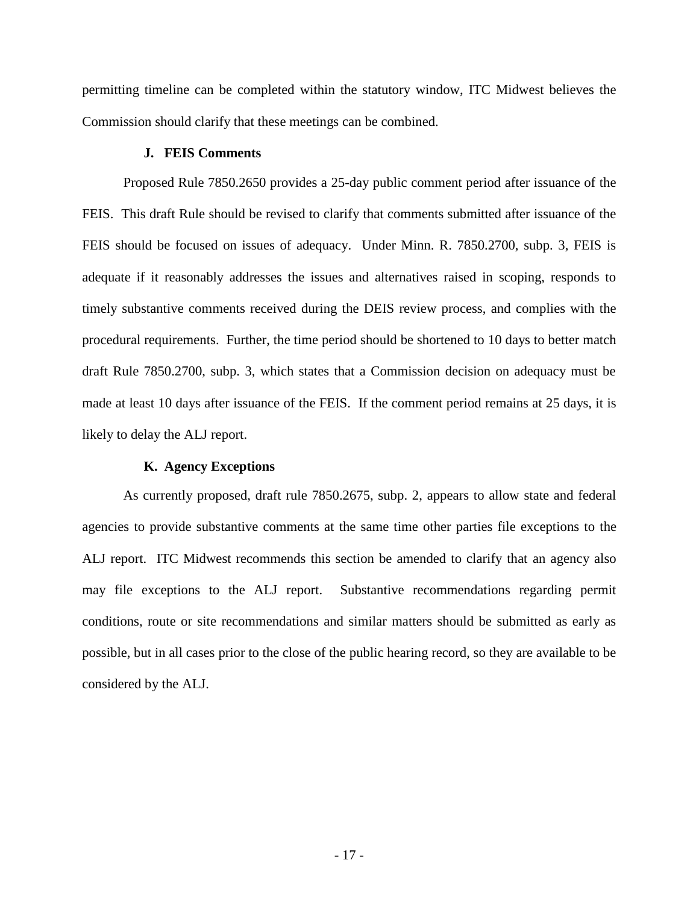permitting timeline can be completed within the statutory window, ITC Midwest believes the Commission should clarify that these meetings can be combined.

# **J. FEIS Comments**

Proposed Rule 7850.2650 provides a 25-day public comment period after issuance of the FEIS. This draft Rule should be revised to clarify that comments submitted after issuance of the FEIS should be focused on issues of adequacy. Under Minn. R. 7850.2700, subp. 3, FEIS is adequate if it reasonably addresses the issues and alternatives raised in scoping, responds to timely substantive comments received during the DEIS review process, and complies with the procedural requirements. Further, the time period should be shortened to 10 days to better match draft Rule 7850.2700, subp. 3, which states that a Commission decision on adequacy must be made at least 10 days after issuance of the FEIS. If the comment period remains at 25 days, it is likely to delay the ALJ report.

# **K. Agency Exceptions**

As currently proposed, draft rule 7850.2675, subp. 2, appears to allow state and federal agencies to provide substantive comments at the same time other parties file exceptions to the ALJ report. ITC Midwest recommends this section be amended to clarify that an agency also may file exceptions to the ALJ report. Substantive recommendations regarding permit conditions, route or site recommendations and similar matters should be submitted as early as possible, but in all cases prior to the close of the public hearing record, so they are available to be considered by the ALJ.